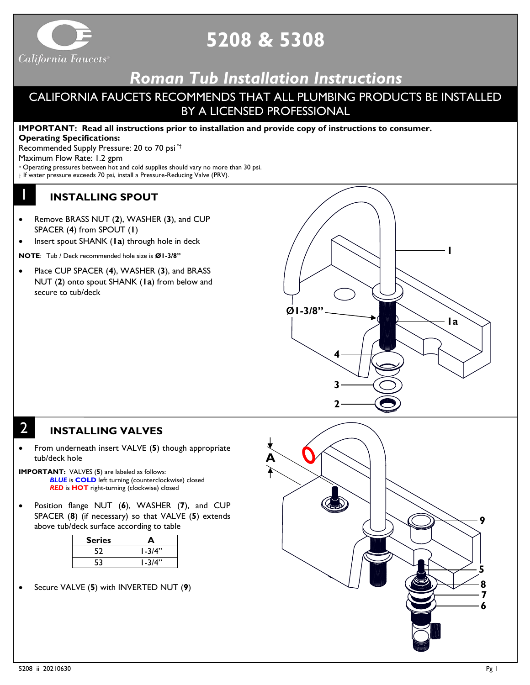

# **5208 & 5308**

## *Roman Tub Installation Instructions*

## CALIFORNIA FAUCETS RECOMMENDS THAT ALL PLUMBING PRODUCTS BE INSTALLED BY A LICENSED PROFESSIONAL

**IMPORTANT: Read all instructions prior to installation and provide copy of instructions to consumer.**

**Operating Specifications:**

Recommended Supply Pressure: 20 to 70 psi \*†

Maximum Flow Rate: 1.2 gpm

\* Operating pressures between hot and cold supplies should vary no more than 30 psi.

† If water pressure exceeds 70 psi, install a Pressure-Reducing Valve (PRV).

### **INSTALLING SPOUT**

- Remove BRASS NUT (**2**), WASHER (**3**), and CUP SPACER (**4**) from SPOUT (**1**)
- Insert spout SHANK (**1a**) through hole in deck

**NOTE**: Tub / Deck recommended hole size is **Ø1-3/8"**

• Place CUP SPACER (**4**), WASHER (**3**), and BRASS NUT (**2**) onto spout SHANK (**1a**) from below and secure to tub/deck



## 2

1

#### **INSTALLING VALVES**

- From underneath insert VALVE (**5**) though appropriate tub/deck hole
- **IMPORTANT:** VALVES (**5**) are labeled as follows: *BLUE* is **COLD** left turning (counterclockwise) closed *RED* is **HOT** right-turning (clockwise) closed
- Position flange NUT (**6**), WASHER (**7**), and CUP SPACER (**8**) (if necessary) so that VALVE (**5**) extends above tub/deck surface according to table

| <b>Series</b> | А          |
|---------------|------------|
| 52            | l -3/4"    |
| 53            | $1 - 3/4"$ |

• Secure VALVE (**5**) with INVERTED NUT (**9**)